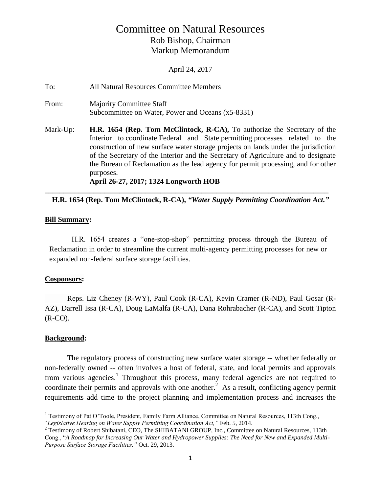# Committee on Natural Resources Rob Bishop, Chairman Markup Memorandum

April 24, 2017

To: All Natural Resources Committee Members From: Majority Committee Staff Subcommittee on Water, Power and Oceans (x5-8331) Mark-Up: **H.R. 1654 (Rep. Tom McClintock, R-CA),** To authorize the Secretary of the Interior to coordinate Federal and State permitting processes related to the construction of new surface water storage projects on lands under the jurisdiction of the Secretary of the Interior and the Secretary of Agriculture and to designate the Bureau of Reclamation as the lead agency for permit processing, and for other purposes. **April 26-27, 2017; 1324 Longworth HOB**

## **H.R. 1654 (Rep. Tom McClintock, R-CA),** *"Water Supply Permitting Coordination Act."*

**\_\_\_\_\_\_\_\_\_\_\_\_\_\_\_\_\_\_\_\_\_\_\_\_\_\_\_\_\_\_\_\_\_\_\_\_\_\_\_\_\_\_\_\_\_\_\_\_\_\_\_\_\_\_\_\_\_\_\_\_\_\_\_\_\_\_\_\_\_\_\_\_\_\_\_\_**

#### **Bill Summary:**

H.R. 1654 creates a "one-stop-shop" permitting process through the Bureau of Reclamation in order to streamline the current multi-agency permitting processes for new or expanded non-federal surface storage facilities.

#### **Cosponsors:**

Reps. Liz Cheney (R-WY), Paul Cook (R-CA), Kevin Cramer (R-ND), Paul Gosar (R-AZ), Darrell Issa (R-CA), Doug LaMalfa (R-CA), Dana Rohrabacher (R-CA), and Scott Tipton  $(R-CO)$ .

## **Background:**

The regulatory process of constructing new surface water storage -- whether federally or non-federally owned -- often involves a host of federal, state, and local permits and approvals from various agencies.<sup>1</sup> Throughout this process, many federal agencies are not required to coordinate their permits and approvals with one another.<sup>2</sup> As a result, conflicting agency permit requirements add time to the project planning and implementation process and increases the

 $\overline{a}$ <sup>1</sup> Testimony of Pat O'Toole, President, Family Farm Alliance, Committee on Natural Resources, 113th Cong., "*Legislative Hearing on Water Supply Permitting Coordination Act,"* Feb. 5, 2014.

<sup>&</sup>lt;sup>2</sup> Testimony of Robert Shibatani, CEO, The SHIBATANI GROUP, Inc., Committee on Natural Resources, 113th Cong., "*A Roadmap for Increasing Our Water and Hydropower Supplies: The Need for New and Expanded Multi-Purpose Surface Storage Facilities,"* Oct. 29, 2013.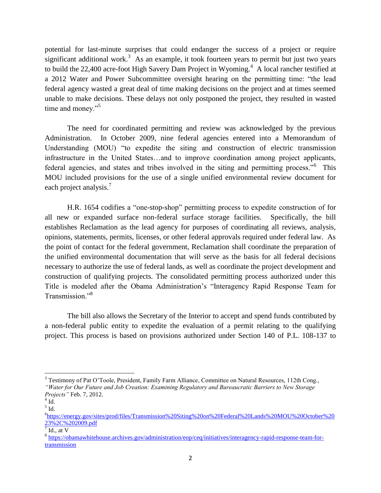potential for last-minute surprises that could endanger the success of a project or require significant additional work.<sup>3</sup> As an example, it took fourteen years to permit but just two years to build the 22,400 acre-foot High Savery Dam Project in Wyoming.<sup>4</sup> A local rancher testified at a 2012 Water and Power Subcommittee oversight hearing on the permitting time: "the lead federal agency wasted a great deal of time making decisions on the project and at times seemed unable to make decisions. These delays not only postponed the project, they resulted in wasted time and money."<sup>5</sup>

The need for coordinated permitting and review was acknowledged by the previous Administration. In October 2009, nine federal agencies entered into a Memorandum of Understanding (MOU) "to expedite the siting and construction of electric transmission infrastructure in the United States…and to improve coordination among project applicants, federal agencies, and states and tribes involved in the siting and permitting process."<sup>6</sup> This MOU included provisions for the use of a single unified environmental review document for each project analysis.<sup>7</sup>

H.R. 1654 codifies a "one-stop-shop" permitting process to expedite construction of for all new or expanded surface non-federal surface storage facilities. Specifically, the bill establishes Reclamation as the lead agency for purposes of coordinating all reviews, analysis, opinions, statements, permits, licenses, or other federal approvals required under federal law. As the point of contact for the federal government, Reclamation shall coordinate the preparation of the unified environmental documentation that will serve as the basis for all federal decisions necessary to authorize the use of federal lands, as well as coordinate the project development and construction of qualifying projects. The consolidated permitting process authorized under this Title is modeled after the Obama Administration's "Interagency Rapid Response Team for Transmission."<sup>8</sup>

The bill also allows the Secretary of the Interior to accept and spend funds contributed by a non-federal public entity to expedite the evaluation of a permit relating to the qualifying project. This process is based on provisions authorized under Section 140 of P.L. 108-137 to

 $\overline{\phantom{a}}$ 

<sup>&</sup>lt;sup>3</sup> Testimony of Pat O'Toole, President, Family Farm Alliance, Committee on Natural Resources, 112th Cong., *"Water for Our Future and Job Creation: Examining Regulatory and Bureaucratic Barriers to New Storage* 

*Projects"* Feb. 7, 2012.  $4$  Id.

 $<sup>5</sup>$  Id.</sup>

<sup>6</sup> [https://energy.gov/sites/prod/files/Transmission%20Siting%20on%20Federal%20Lands%20MOU%20October%20](https://energy.gov/sites/prod/files/Transmission%20Siting%20on%20Federal%20Lands%20MOU%20October%2023%2C%202009.pdf) [23%2C%202009.pdf](https://energy.gov/sites/prod/files/Transmission%20Siting%20on%20Federal%20Lands%20MOU%20October%2023%2C%202009.pdf)

 $<sup>7</sup>$  Id., at V</sup>

<sup>&</sup>lt;sup>8</sup> [https://obamawhitehouse.archives.gov/administration/eop/ceq/initiatives/interagency-rapid-response-team-for](https://obamawhitehouse.archives.gov/administration/eop/ceq/initiatives/interagency-rapid-response-team-for-transmission)[transmission](https://obamawhitehouse.archives.gov/administration/eop/ceq/initiatives/interagency-rapid-response-team-for-transmission)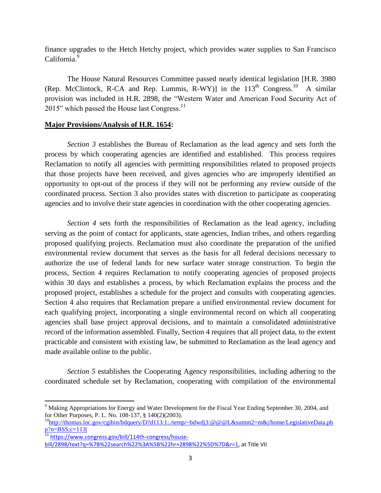finance upgrades to the Hetch Hetchy project, which provides water supplies to San Francisco California.<sup>9</sup>

The House Natural Resources Committee passed nearly identical legislation [H.R. 3980 (Rep. McClintock, R-CA and Rep. Lummis, R-WY)] in the  $113<sup>th</sup>$  Congress.<sup>10</sup> A similar provision was included in H.R. 2898, the "Western Water and American Food Security Act of 2015" which passed the House last Congress. $^{11}$ 

#### **Major Provisions/Analysis of H.R. 1654:**

*Section 3* establishes the Bureau of Reclamation as the lead agency and sets forth the process by which cooperating agencies are identified and established. This process requires Reclamation to notify all agencies with permitting responsibilities related to proposed projects that those projects have been received, and gives agencies who are improperly identified an opportunity to opt-out of the process if they will not be performing any review outside of the coordinated process. Section 3 also provides states with discretion to participate as cooperating agencies and to involve their state agencies in coordination with the other cooperating agencies.

*Section 4* sets forth the responsibilities of Reclamation as the lead agency, including serving as the point of contact for applicants, state agencies, Indian tribes, and others regarding proposed qualifying projects. Reclamation must also coordinate the preparation of the unified environmental review document that serves as the basis for all federal decisions necessary to authorize the use of federal lands for new surface water storage construction. To begin the process, Section 4 requires Reclamation to notify cooperating agencies of proposed projects within 30 days and establishes a process, by which Reclamation explains the process and the proposed project, establishes a schedule for the project and consults with cooperating agencies. Section 4 also requires that Reclamation prepare a unified environmental review document for each qualifying project, incorporating a single environmental record on which all cooperating agencies shall base project approval decisions, and to maintain a consolidated administrative record of the information assembled. Finally, Section 4 requires that all project data, to the extent practicable and consistent with existing law, be submitted to Reclamation as the lead agency and made available online to the public.

*Section 5* establishes the Cooperating Agency responsibilities, including adhering to the coordinated schedule set by Reclamation, cooperating with compilation of the environmental

 $\overline{\phantom{a}}$ 

<sup>&</sup>lt;sup>9</sup> Making Appropriations for Energy and Water Development for the Fiscal Year Ending September 30, 2004, and for Other Purposes, P. L. No. 108-137, § 140(2)(2003).

<sup>&</sup>lt;sup>10</sup>http://thomas.loc.gov/cgibin/bdquery/D?d113:1:/temp/~bdwdj3:@@@L&summ2=m&|/home/LegislativeData.ph  $p?n=BSS;c=113$ 

<sup>11</sup> [https://www.congress.gov/bill/114th-congress/house](https://www.congress.gov/bill/114th-congress/house-bill/2898/text?q=%7B%22search%22%3A%5B%22hr+2898%22%5D%7D&r=1)[bill/2898/text?q=%7B%22search%22%3A%5B%22hr+2898%22%5D%7D&r=1,](https://www.congress.gov/bill/114th-congress/house-bill/2898/text?q=%7B%22search%22%3A%5B%22hr+2898%22%5D%7D&r=1) at Title VII